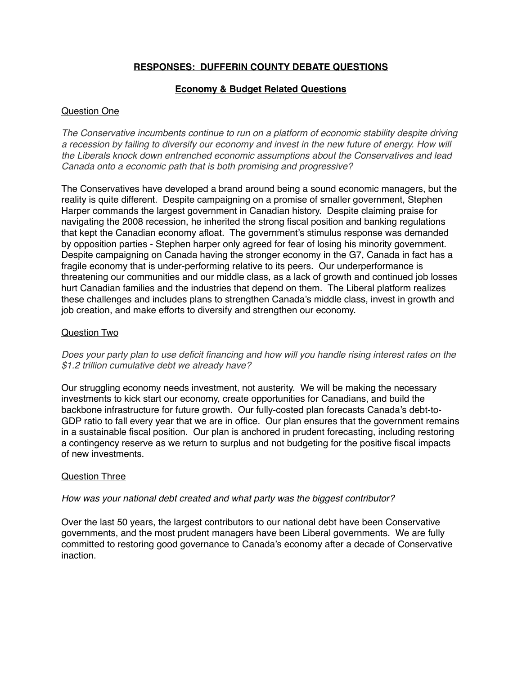# **RESPONSES: DUFFERIN COUNTY DEBATE QUESTIONS**

# **Economy & Budget Related Questions**

# Question One

*The Conservative incumbents continue to run on a platform of economic stability despite driving a recession by failing to diversify our economy and invest in the new future of energy. How will the Liberals knock down entrenched economic assumptions about the Conservatives and lead Canada onto a economic path that is both promising and progressive?*

The Conservatives have developed a brand around being a sound economic managers, but the reality is quite different. Despite campaigning on a promise of smaller government, Stephen Harper commands the largest government in Canadian history. Despite claiming praise for navigating the 2008 recession, he inherited the strong fiscal position and banking regulations that kept the Canadian economy afloat. The government's stimulus response was demanded by opposition parties - Stephen harper only agreed for fear of losing his minority government. Despite campaigning on Canada having the stronger economy in the G7, Canada in fact has a fragile economy that is under-performing relative to its peers. Our underperformance is threatening our communities and our middle class, as a lack of growth and continued job losses hurt Canadian families and the industries that depend on them. The Liberal platform realizes these challenges and includes plans to strengthen Canada's middle class, invest in growth and job creation, and make efforts to diversify and strengthen our economy.

# Question Two

*Does your party plan to use deficit financing and how will you handle rising interest rates on the \$1.2 trillion cumulative debt we already have?*

Our struggling economy needs investment, not austerity. We will be making the necessary investments to kick start our economy, create opportunities for Canadians, and build the backbone infrastructure for future growth. Our fully-costed plan forecasts Canada's debt-to-GDP ratio to fall every year that we are in office. Our plan ensures that the government remains in a sustainable fiscal position. Our plan is anchored in prudent forecasting, including restoring a contingency reserve as we return to surplus and not budgeting for the positive fiscal impacts of new investments.

# Question Three

### *How was your national debt created and what party was the biggest contributor?*

Over the last 50 years, the largest contributors to our national debt have been Conservative governments, and the most prudent managers have been Liberal governments. We are fully committed to restoring good governance to Canada's economy after a decade of Conservative inaction.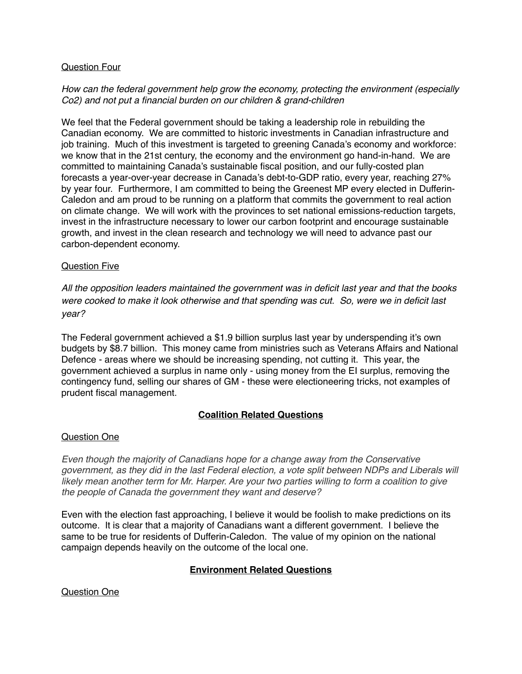## Question Four

# *How can the federal government help grow the economy, protecting the environment (especially Co2) and not put a financial burden on our children & grand-children*

We feel that the Federal government should be taking a leadership role in rebuilding the Canadian economy. We are committed to historic investments in Canadian infrastructure and job training. Much of this investment is targeted to greening Canada's economy and workforce: we know that in the 21st century, the economy and the environment go hand-in-hand. We are committed to maintaining Canada's sustainable fiscal position, and our fully-costed plan forecasts a year-over-year decrease in Canada's debt-to-GDP ratio, every year, reaching 27% by year four. Furthermore, I am committed to being the Greenest MP every elected in Dufferin-Caledon and am proud to be running on a platform that commits the government to real action on climate change. We will work with the provinces to set national emissions-reduction targets, invest in the infrastructure necessary to lower our carbon footprint and encourage sustainable growth, and invest in the clean research and technology we will need to advance past our carbon-dependent economy.

## Question Five

*All the opposition leaders maintained the government was in deficit last year and that the books were cooked to make it look otherwise and that spending was cut. So, were we in deficit last year?*

The Federal government achieved a \$1.9 billion surplus last year by underspending it's own budgets by \$8.7 billion. This money came from ministries such as Veterans Affairs and National Defence - areas where we should be increasing spending, not cutting it. This year, the government achieved a surplus in name only - using money from the EI surplus, removing the contingency fund, selling our shares of GM - these were electioneering tricks, not examples of prudent fiscal management.

# **Coalition Related Questions**

# Question One

*Even though the majority of Canadians hope for a change away from the Conservative government, as they did in the last Federal election, a vote split between NDPs and Liberals will likely mean another term for Mr. Harper. Are your two parties willing to form a coalition to give the people of Canada the government they want and deserve?*

Even with the election fast approaching, I believe it would be foolish to make predictions on its outcome. It is clear that a majority of Canadians want a different government. I believe the same to be true for residents of Dufferin-Caledon. The value of my opinion on the national campaign depends heavily on the outcome of the local one.

# **Environment Related Questions**

Question One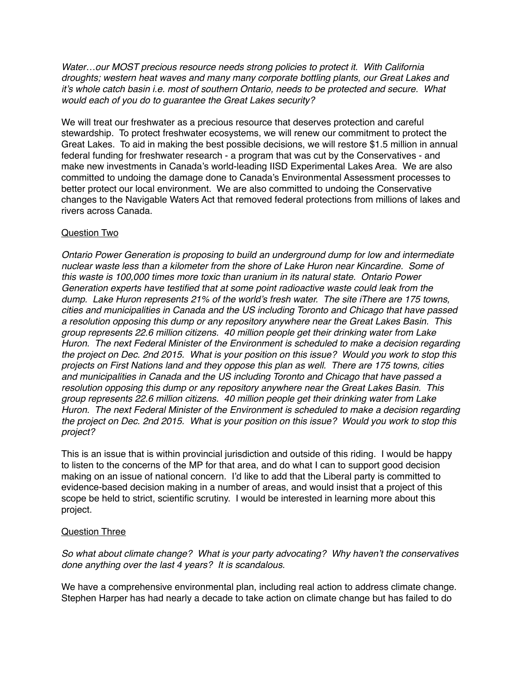*Water…our MOST precious resource needs strong policies to protect it. With California droughts; western heat waves and many many corporate bottling plants, our Great Lakes and it's whole catch basin i.e. most of southern Ontario, needs to be protected and secure. What would each of you do to guarantee the Great Lakes security?*

We will treat our freshwater as a precious resource that deserves protection and careful stewardship. To protect freshwater ecosystems, we will renew our commitment to protect the Great Lakes. To aid in making the best possible decisions, we will restore \$1.5 million in annual federal funding for freshwater research - a program that was cut by the Conservatives - and make new investments in Canada's world-leading IISD Experimental Lakes Area. We are also committed to undoing the damage done to Canada's Environmental Assessment processes to better protect our local environment. We are also committed to undoing the Conservative changes to the Navigable Waters Act that removed federal protections from millions of lakes and rivers across Canada.

# Question Two

*Ontario Power Generation is proposing to build an underground dump for low and intermediate nuclear waste less than a kilometer from the shore of Lake Huron near Kincardine. Some of this waste is 100,000 times more toxic than uranium in its natural state. Ontario Power Generation experts have testified that at some point radioactive waste could leak from the dump. Lake Huron represents 21% of the world's fresh water. The site iThere are 175 towns, cities and municipalities in Canada and the US including Toronto and Chicago that have passed a resolution opposing this dump or any repository anywhere near the Great Lakes Basin. This group represents 22.6 million citizens. 40 million people get their drinking water from Lake Huron. The next Federal Minister of the Environment is scheduled to make a decision regarding the project on Dec. 2nd 2015. What is your position on this issue? Would you work to stop this projects on First Nations land and they oppose this plan as well. There are 175 towns, cities and municipalities in Canada and the US including Toronto and Chicago that have passed a resolution opposing this dump or any repository anywhere near the Great Lakes Basin. This group represents 22.6 million citizens. 40 million people get their drinking water from Lake Huron. The next Federal Minister of the Environment is scheduled to make a decision regarding the project on Dec. 2nd 2015. What is your position on this issue? Would you work to stop this project?*

This is an issue that is within provincial jurisdiction and outside of this riding. I would be happy to listen to the concerns of the MP for that area, and do what I can to support good decision making on an issue of national concern. I'd like to add that the Liberal party is committed to evidence-based decision making in a number of areas, and would insist that a project of this scope be held to strict, scientific scrutiny. I would be interested in learning more about this project.

# Question Three

*So what about climate change? What is your party advocating? Why haven't the conservatives done anything over the last 4 years? It is scandalous.*

We have a comprehensive environmental plan, including real action to address climate change. Stephen Harper has had nearly a decade to take action on climate change but has failed to do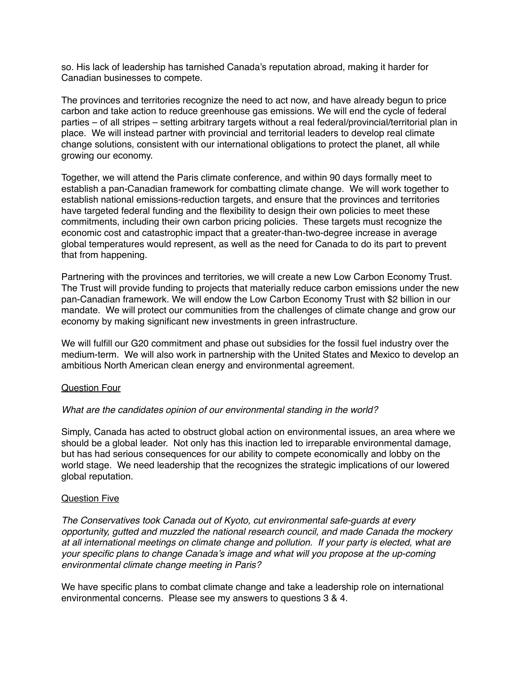so. His lack of leadership has tarnished Canada's reputation abroad, making it harder for Canadian businesses to compete.

The provinces and territories recognize the need to act now, and have already begun to price carbon and take action to reduce greenhouse gas emissions. We will end the cycle of federal parties – of all stripes – setting arbitrary targets without a real federal/provincial/territorial plan in place. We will instead partner with provincial and territorial leaders to develop real climate change solutions, consistent with our international obligations to protect the planet, all while growing our economy.

Together, we will attend the Paris climate conference, and within 90 days formally meet to establish a pan-Canadian framework for combatting climate change. We will work together to establish national emissions-reduction targets, and ensure that the provinces and territories have targeted federal funding and the flexibility to design their own policies to meet these commitments, including their own carbon pricing policies. These targets must recognize the economic cost and catastrophic impact that a greater-than-two-degree increase in average global temperatures would represent, as well as the need for Canada to do its part to prevent that from happening.

Partnering with the provinces and territories, we will create a new Low Carbon Economy Trust. The Trust will provide funding to projects that materially reduce carbon emissions under the new pan-Canadian framework. We will endow the Low Carbon Economy Trust with \$2 billion in our mandate. We will protect our communities from the challenges of climate change and grow our economy by making significant new investments in green infrastructure.

We will fulfill our G20 commitment and phase out subsidies for the fossil fuel industry over the medium-term. We will also work in partnership with the United States and Mexico to develop an ambitious North American clean energy and environmental agreement.

### Question Four

### *What are the candidates opinion of our environmental standing in the world?*

Simply, Canada has acted to obstruct global action on environmental issues, an area where we should be a global leader. Not only has this inaction led to irreparable environmental damage, but has had serious consequences for our ability to compete economically and lobby on the world stage. We need leadership that the recognizes the strategic implications of our lowered global reputation.

### Question Five

*The Conservatives took Canada out of Kyoto, cut environmental safe-guards at every opportunity, gutted and muzzled the national research council, and made Canada the mockery at all international meetings on climate change and pollution. If your party is elected, what are your specific plans to change Canada's image and what will you propose at the up-coming environmental climate change meeting in Paris?*

We have specific plans to combat climate change and take a leadership role on international environmental concerns. Please see my answers to questions 3 & 4.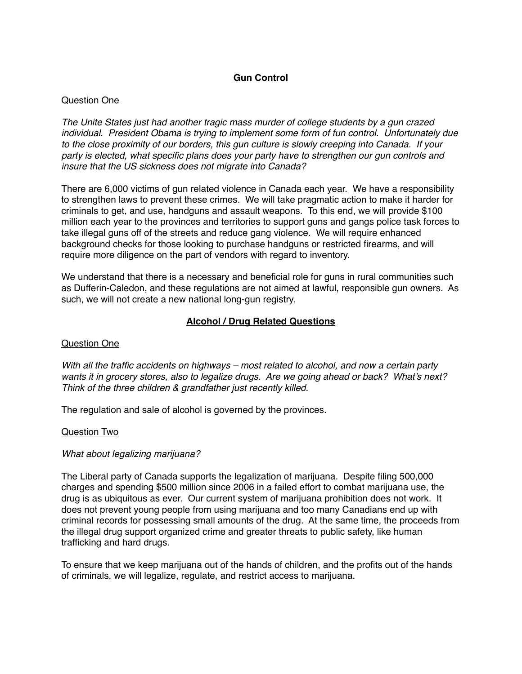# **Gun Control**

# Question One

*The Unite States just had another tragic mass murder of college students by a gun crazed individual. President Obama is trying to implement some form of fun control. Unfortunately due to the close proximity of our borders, this gun culture is slowly creeping into Canada. If your party is elected, what specific plans does your party have to strengthen our gun controls and insure that the US sickness does not migrate into Canada?*

There are 6,000 victims of gun related violence in Canada each year. We have a responsibility to strengthen laws to prevent these crimes. We will take pragmatic action to make it harder for criminals to get, and use, handguns and assault weapons. To this end, we will provide \$100 million each year to the provinces and territories to support guns and gangs police task forces to take illegal guns off of the streets and reduce gang violence. We will require enhanced background checks for those looking to purchase handguns or restricted firearms, and will require more diligence on the part of vendors with regard to inventory.

We understand that there is a necessary and beneficial role for guns in rural communities such as Dufferin-Caledon, and these regulations are not aimed at lawful, responsible gun owners. As such, we will not create a new national long-gun registry.

# **Alcohol / Drug Related Questions**

### Question One

*With all the traffic accidents on highways – most related to alcohol, and now a certain party wants it in grocery stores, also to legalize drugs. Are we going ahead or back? What's next? Think of the three children & grandfather just recently killed.*

The regulation and sale of alcohol is governed by the provinces.

### Question Two

### *What about legalizing marijuana?*

The Liberal party of Canada supports the legalization of marijuana. Despite filing 500,000 charges and spending \$500 million since 2006 in a failed effort to combat marijuana use, the drug is as ubiquitous as ever. Our current system of marijuana prohibition does not work. It does not prevent young people from using marijuana and too many Canadians end up with criminal records for possessing small amounts of the drug. At the same time, the proceeds from the illegal drug support organized crime and greater threats to public safety, like human trafficking and hard drugs.

To ensure that we keep marijuana out of the hands of children, and the profits out of the hands of criminals, we will legalize, regulate, and restrict access to marijuana.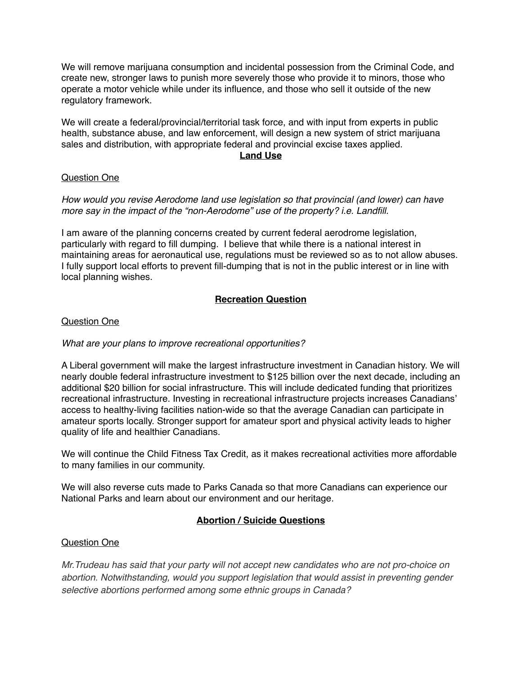We will remove marijuana consumption and incidental possession from the Criminal Code, and create new, stronger laws to punish more severely those who provide it to minors, those who operate a motor vehicle while under its influence, and those who sell it outside of the new regulatory framework.

We will create a federal/provincial/territorial task force, and with input from experts in public health, substance abuse, and law enforcement, will design a new system of strict marijuana sales and distribution, with appropriate federal and provincial excise taxes applied.

## **Land Use**

# Question One

*How would you revise Aerodome land use legislation so that provincial (and lower) can have more say in the impact of the "non-Aerodome" use of the property? i.e. Landfill.*

I am aware of the planning concerns created by current federal aerodrome legislation, particularly with regard to fill dumping. I believe that while there is a national interest in maintaining areas for aeronautical use, regulations must be reviewed so as to not allow abuses. I fully support local efforts to prevent fill-dumping that is not in the public interest or in line with local planning wishes.

# **Recreation Question**

# Question One

# *What are your plans to improve recreational opportunities?*

A Liberal government will make the largest infrastructure investment in Canadian history. We will nearly double federal infrastructure investment to \$125 billion over the next decade, including an additional \$20 billion for social infrastructure. This will include dedicated funding that prioritizes recreational infrastructure. Investing in recreational infrastructure projects increases Canadians' access to healthy-living facilities nation-wide so that the average Canadian can participate in amateur sports locally. Stronger support for amateur sport and physical activity leads to higher quality of life and healthier Canadians.

We will continue the Child Fitness Tax Credit, as it makes recreational activities more affordable to many families in our community.

We will also reverse cuts made to Parks Canada so that more Canadians can experience our National Parks and learn about our environment and our heritage.

# **Abortion / Suicide Questions**

# Question One

*Mr.Trudeau has said that your party will not accept new candidates who are not pro-choice on abortion. Notwithstanding, would you support legislation that would assist in preventing gender selective abortions performed among some ethnic groups in Canada?*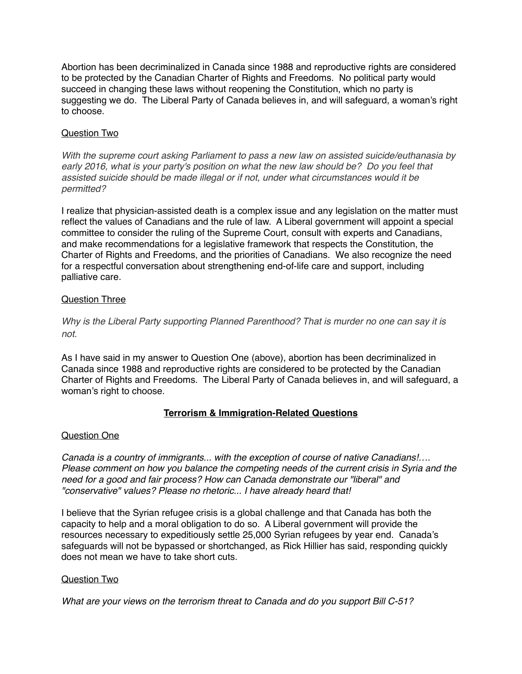Abortion has been decriminalized in Canada since 1988 and reproductive rights are considered to be protected by the Canadian Charter of Rights and Freedoms. No political party would succeed in changing these laws without reopening the Constitution, which no party is suggesting we do. The Liberal Party of Canada believes in, and will safeguard, a woman's right to choose.

# Question Two

*With the supreme court asking Parliament to pass a new law on assisted suicide/euthanasia by early 2016, what is your party's position on what the new law should be? Do you feel that assisted suicide should be made illegal or if not, under what circumstances would it be permitted?*

I realize that physician-assisted death is a complex issue and any legislation on the matter must reflect the values of Canadians and the rule of law. A Liberal government will appoint a special committee to consider the ruling of the Supreme Court, consult with experts and Canadians, and make recommendations for a legislative framework that respects the Constitution, the Charter of Rights and Freedoms, and the priorities of Canadians. We also recognize the need for a respectful conversation about strengthening end-of-life care and support, including palliative care.

# Question Three

# *Why is the Liberal Party supporting Planned Parenthood? That is murder no one can say it is not.*

As I have said in my answer to Question One (above), abortion has been decriminalized in Canada since 1988 and reproductive rights are considered to be protected by the Canadian Charter of Rights and Freedoms. The Liberal Party of Canada believes in, and will safeguard, a woman's right to choose.

# **Terrorism & Immigration-Related Questions**

# Question One

*Canada is a country of immigrants... with the exception of course of native Canadians!…. Please comment on how you balance the competing needs of the current crisis in Syria and the need for a good and fair process? How can Canada demonstrate our "liberal" and "conservative" values? Please no rhetoric... I have already heard that!*

I believe that the Syrian refugee crisis is a global challenge and that Canada has both the capacity to help and a moral obligation to do so. A Liberal government will provide the resources necessary to expeditiously settle 25,000 Syrian refugees by year end. Canada's safeguards will not be bypassed or shortchanged, as Rick Hillier has said, responding quickly does not mean we have to take short cuts.

# Question Two

*What are your views on the terrorism threat to Canada and do you support Bill C-51?*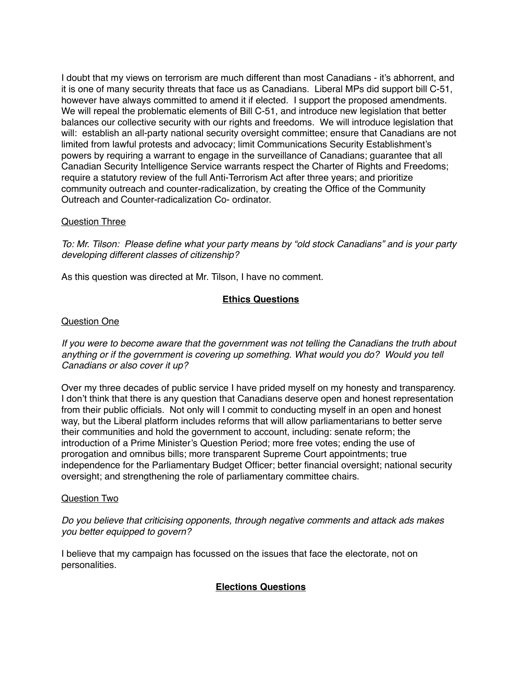I doubt that my views on terrorism are much different than most Canadians - it's abhorrent, and it is one of many security threats that face us as Canadians. Liberal MPs did support bill C-51, however have always committed to amend it if elected. I support the proposed amendments. We will repeal the problematic elements of Bill C-51, and introduce new legislation that better balances our collective security with our rights and freedoms. We will introduce legislation that will: establish an all-party national security oversight committee; ensure that Canadians are not limited from lawful protests and advocacy; limit Communications Security Establishment's powers by requiring a warrant to engage in the surveillance of Canadians; guarantee that all Canadian Security Intelligence Service warrants respect the Charter of Rights and Freedoms; require a statutory review of the full Anti-Terrorism Act after three years; and prioritize community outreach and counter-radicalization, by creating the Office of the Community Outreach and Counter-radicalization Co- ordinator.

## Question Three

*To: Mr. Tilson: Please define what your party means by "old stock Canadians" and is your party developing different classes of citizenship?*

As this question was directed at Mr. Tilson, I have no comment.

# **Ethics Questions**

## Question One

*If you were to become aware that the government was not telling the Canadians the truth about anything or if the government is covering up something. What would you do? Would you tell Canadians or also cover it up?*

Over my three decades of public service I have prided myself on my honesty and transparency. I don't think that there is any question that Canadians deserve open and honest representation from their public officials. Not only will I commit to conducting myself in an open and honest way, but the Liberal platform includes reforms that will allow parliamentarians to better serve their communities and hold the government to account, including: senate reform; the introduction of a Prime Minister's Question Period; more free votes; ending the use of prorogation and omnibus bills; more transparent Supreme Court appointments; true independence for the Parliamentary Budget Officer; better financial oversight; national security oversight; and strengthening the role of parliamentary committee chairs.

### Question Two

*Do you believe that criticising opponents, through negative comments and attack ads makes you better equipped to govern?*

I believe that my campaign has focussed on the issues that face the electorate, not on personalities.

# **Elections Questions**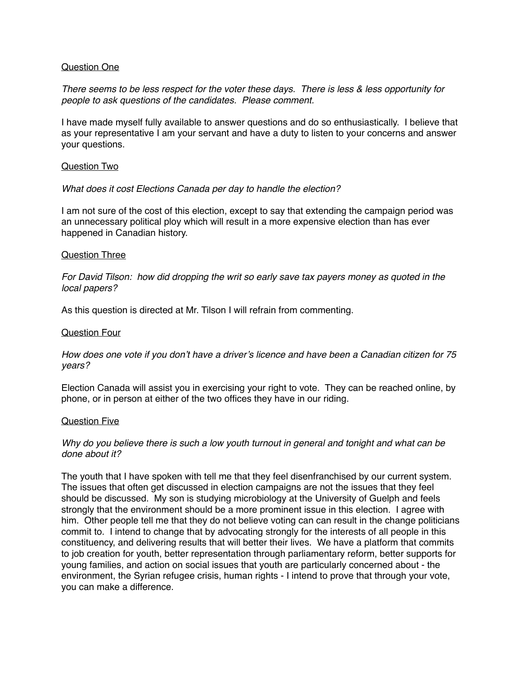### Question One

*There seems to be less respect for the voter these days. There is less & less opportunity for people to ask questions of the candidates. Please comment.*

I have made myself fully available to answer questions and do so enthusiastically. I believe that as your representative I am your servant and have a duty to listen to your concerns and answer your questions.

### Question Two

### *What does it cost Elections Canada per day to handle the election?*

I am not sure of the cost of this election, except to say that extending the campaign period was an unnecessary political ploy which will result in a more expensive election than has ever happened in Canadian history.

#### Question Three

*For David Tilson: how did dropping the writ so early save tax payers money as quoted in the local papers?*

As this question is directed at Mr. Tilson I will refrain from commenting.

#### Question Four

*How does one vote if you don't have a driver's licence and have been a Canadian citizen for 75 years?*

Election Canada will assist you in exercising your right to vote. They can be reached online, by phone, or in person at either of the two offices they have in our riding.

#### Question Five

## *Why do you believe there is such a low youth turnout in general and tonight and what can be done about it?*

The youth that I have spoken with tell me that they feel disenfranchised by our current system. The issues that often get discussed in election campaigns are not the issues that they feel should be discussed. My son is studying microbiology at the University of Guelph and feels strongly that the environment should be a more prominent issue in this election. I agree with him. Other people tell me that they do not believe voting can can result in the change politicians commit to. I intend to change that by advocating strongly for the interests of all people in this constituency, and delivering results that will better their lives. We have a platform that commits to job creation for youth, better representation through parliamentary reform, better supports for young families, and action on social issues that youth are particularly concerned about - the environment, the Syrian refugee crisis, human rights - I intend to prove that through your vote, you can make a difference.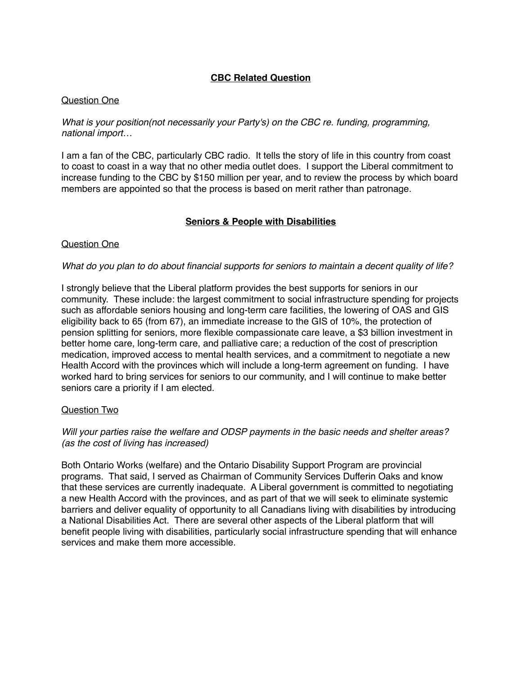# **CBC Related Question**

## Question One

## *What is your position(not necessarily your Party's) on the CBC re. funding, programming, national import…*

I am a fan of the CBC, particularly CBC radio. It tells the story of life in this country from coast to coast to coast in a way that no other media outlet does. I support the Liberal commitment to increase funding to the CBC by \$150 million per year, and to review the process by which board members are appointed so that the process is based on merit rather than patronage.

# **Seniors & People with Disabilities**

## Question One

## *What do you plan to do about financial supports for seniors to maintain a decent quality of life?*

I strongly believe that the Liberal platform provides the best supports for seniors in our community. These include: the largest commitment to social infrastructure spending for projects such as affordable seniors housing and long-term care facilities, the lowering of OAS and GIS eligibility back to 65 (from 67), an immediate increase to the GIS of 10%, the protection of pension splitting for seniors, more flexible compassionate care leave, a \$3 billion investment in better home care, long-term care, and palliative care; a reduction of the cost of prescription medication, improved access to mental health services, and a commitment to negotiate a new Health Accord with the provinces which will include a long-term agreement on funding. I have worked hard to bring services for seniors to our community, and I will continue to make better seniors care a priority if I am elected.

### Question Two

## *Will your parties raise the welfare and ODSP payments in the basic needs and shelter areas? (as the cost of living has increased)*

Both Ontario Works (welfare) and the Ontario Disability Support Program are provincial programs. That said, I served as Chairman of Community Services Dufferin Oaks and know that these services are currently inadequate. A Liberal government is committed to negotiating a new Health Accord with the provinces, and as part of that we will seek to eliminate systemic barriers and deliver equality of opportunity to all Canadians living with disabilities by introducing a National Disabilities Act. There are several other aspects of the Liberal platform that will benefit people living with disabilities, particularly social infrastructure spending that will enhance services and make them more accessible.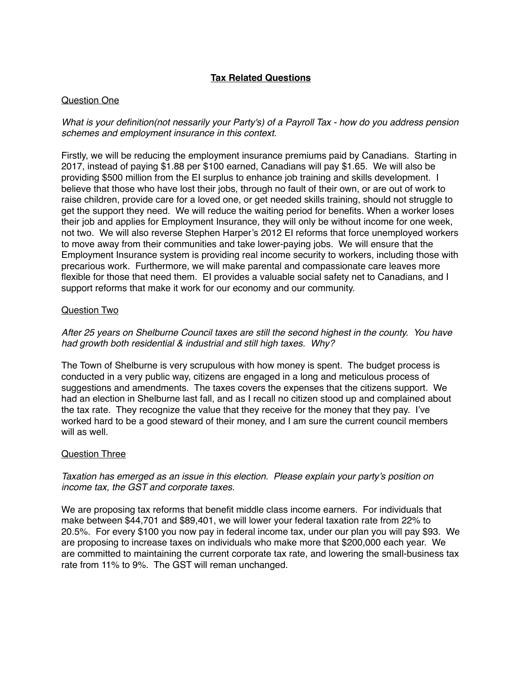# **Tax Related Questions**

# Question One

*What is your definition(not nessarily your Party's) of a Payroll Tax - how do you address pension schemes and employment insurance in this context.*

Firstly, we will be reducing the employment insurance premiums paid by Canadians. Starting in 2017, instead of paying \$1.88 per \$100 earned, Canadians will pay \$1.65. We will also be providing \$500 million from the EI surplus to enhance job training and skills development. I believe that those who have lost their jobs, through no fault of their own, or are out of work to raise children, provide care for a loved one, or get needed skills training, should not struggle to get the support they need. We will reduce the waiting period for benefits. When a worker loses their job and applies for Employment Insurance, they will only be without income for one week, not two. We will also reverse Stephen Harper's 2012 EI reforms that force unemployed workers to move away from their communities and take lower-paying jobs. We will ensure that the Employment Insurance system is providing real income security to workers, including those with precarious work. Furthermore, we will make parental and compassionate care leaves more flexible for those that need them. EI provides a valuable social safety net to Canadians, and I support reforms that make it work for our economy and our community.

# Question Two

*After 25 years on Shelburne Council taxes are still the second highest in the county. You have had growth both residential & industrial and still high taxes. Why?*

The Town of Shelburne is very scrupulous with how money is spent. The budget process is conducted in a very public way, citizens are engaged in a long and meticulous process of suggestions and amendments. The taxes covers the expenses that the citizens support. We had an election in Shelburne last fall, and as I recall no citizen stood up and complained about the tax rate. They recognize the value that they receive for the money that they pay. I've worked hard to be a good steward of their money, and I am sure the current council members will as well.

# Question Three

# *Taxation has emerged as an issue in this election. Please explain your party's position on income tax, the GST and corporate taxes.*

We are proposing tax reforms that benefit middle class income earners. For individuals that make between \$44,701 and \$89,401, we will lower your federal taxation rate from 22% to 20.5%. For every \$100 you now pay in federal income tax, under our plan you will pay \$93. We are proposing to increase taxes on individuals who make more that \$200,000 each year. We are committed to maintaining the current corporate tax rate, and lowering the small-business tax rate from 11% to 9%. The GST will reman unchanged.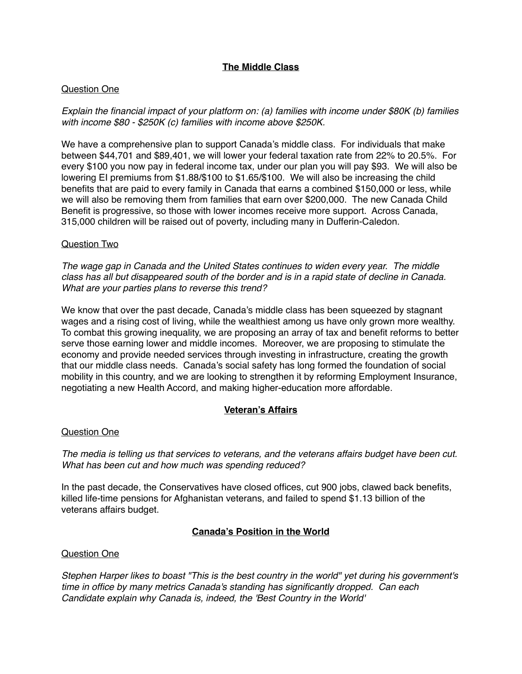# **The Middle Class**

# Question One

*Explain the financial impact of your platform on: (a) families with income under \$80K (b) families with income \$80 - \$250K (c) families with income above \$250K.* 

We have a comprehensive plan to support Canada's middle class. For individuals that make between \$44,701 and \$89,401, we will lower your federal taxation rate from 22% to 20.5%. For every \$100 you now pay in federal income tax, under our plan you will pay \$93. We will also be lowering EI premiums from \$1.88/\$100 to \$1.65/\$100. We will also be increasing the child benefits that are paid to every family in Canada that earns a combined \$150,000 or less, while we will also be removing them from families that earn over \$200,000. The new Canada Child Benefit is progressive, so those with lower incomes receive more support. Across Canada, 315,000 children will be raised out of poverty, including many in Dufferin-Caledon.

## Question Two

*The wage gap in Canada and the United States continues to widen every year. The middle class has all but disappeared south of the border and is in a rapid state of decline in Canada. What are your parties plans to reverse this trend?*

We know that over the past decade, Canada's middle class has been squeezed by stagnant wages and a rising cost of living, while the wealthiest among us have only grown more wealthy. To combat this growing inequality, we are proposing an array of tax and benefit reforms to better serve those earning lower and middle incomes. Moreover, we are proposing to stimulate the economy and provide needed services through investing in infrastructure, creating the growth that our middle class needs. Canada's social safety has long formed the foundation of social mobility in this country, and we are looking to strengthen it by reforming Employment Insurance, negotiating a new Health Accord, and making higher-education more affordable.

# **Veteran's Affairs**

### Question One

*The media is telling us that services to veterans, and the veterans affairs budget have been cut. What has been cut and how much was spending reduced?* 

In the past decade, the Conservatives have closed offices, cut 900 jobs, clawed back benefits, killed life-time pensions for Afghanistan veterans, and failed to spend \$1.13 billion of the veterans affairs budget.

# **Canada's Position in the World**

### Question One

*Stephen Harper likes to boast "This is the best country in the world" yet during his government's time in office by many metrics Canada's standing has significantly dropped. Can each Candidate explain why Canada is, indeed, the 'Best Country in the World'*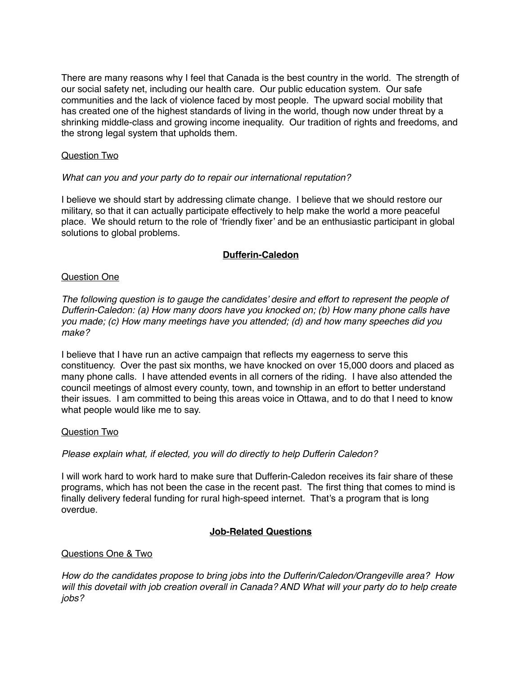There are many reasons why I feel that Canada is the best country in the world. The strength of our social safety net, including our health care. Our public education system. Our safe communities and the lack of violence faced by most people. The upward social mobility that has created one of the highest standards of living in the world, though now under threat by a shrinking middle-class and growing income inequality. Our tradition of rights and freedoms, and the strong legal system that upholds them.

# Question Two

## *What can you and your party do to repair our international reputation?*

I believe we should start by addressing climate change. I believe that we should restore our military, so that it can actually participate effectively to help make the world a more peaceful place. We should return to the role of 'friendly fixer' and be an enthusiastic participant in global solutions to global problems.

## **Dufferin-Caledon**

### Question One

*The following question is to gauge the candidates' desire and effort to represent the people of Dufferin-Caledon: (a) How many doors have you knocked on; (b) How many phone calls have you made; (c) How many meetings have you attended; (d) and how many speeches did you make?*

I believe that I have run an active campaign that reflects my eagerness to serve this constituency. Over the past six months, we have knocked on over 15,000 doors and placed as many phone calls. I have attended events in all corners of the riding. I have also attended the council meetings of almost every county, town, and township in an effort to better understand their issues. I am committed to being this areas voice in Ottawa, and to do that I need to know what people would like me to say.

### Question Two

### *Please explain what, if elected, you will do directly to help Dufferin Caledon?*

I will work hard to work hard to make sure that Dufferin-Caledon receives its fair share of these programs, which has not been the case in the recent past. The first thing that comes to mind is finally delivery federal funding for rural high-speed internet. That's a program that is long overdue.

# **Job-Related Questions**

### Questions One & Two

*How do the candidates propose to bring jobs into the Dufferin/Caledon/Orangeville area? How will this dovetail with job creation overall in Canada? AND What will your party do to help create jobs?*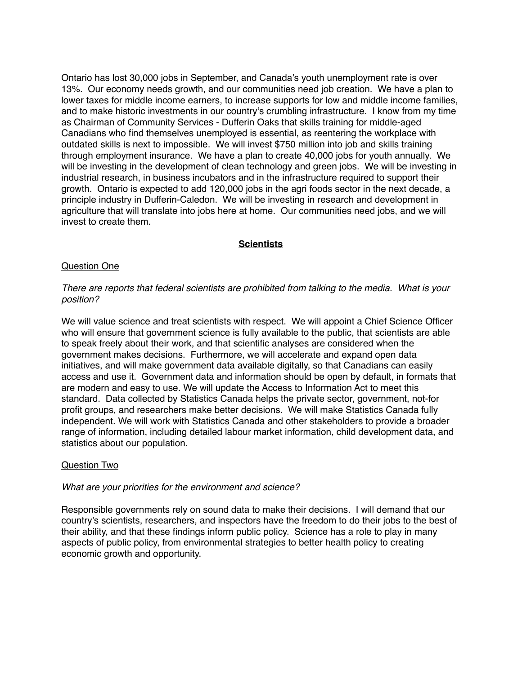Ontario has lost 30,000 jobs in September, and Canada's youth unemployment rate is over 13%. Our economy needs growth, and our communities need job creation. We have a plan to lower taxes for middle income earners, to increase supports for low and middle income families, and to make historic investments in our country's crumbling infrastructure. I know from my time as Chairman of Community Services - Dufferin Oaks that skills training for middle-aged Canadians who find themselves unemployed is essential, as reentering the workplace with outdated skills is next to impossible. We will invest \$750 million into job and skills training through employment insurance. We have a plan to create 40,000 jobs for youth annually. We will be investing in the development of clean technology and green jobs. We will be investing in industrial research, in business incubators and in the infrastructure required to support their growth. Ontario is expected to add 120,000 jobs in the agri foods sector in the next decade, a principle industry in Dufferin-Caledon. We will be investing in research and development in agriculture that will translate into jobs here at home. Our communities need jobs, and we will invest to create them.

# **Scientists**

## Question One

## *There are reports that federal scientists are prohibited from talking to the media. What is your position?*

We will value science and treat scientists with respect. We will appoint a Chief Science Officer who will ensure that government science is fully available to the public, that scientists are able to speak freely about their work, and that scientific analyses are considered when the government makes decisions. Furthermore, we will accelerate and expand open data initiatives, and will make government data available digitally, so that Canadians can easily access and use it. Government data and information should be open by default, in formats that are modern and easy to use. We will update the Access to Information Act to meet this standard. Data collected by Statistics Canada helps the private sector, government, not-for profit groups, and researchers make better decisions. We will make Statistics Canada fully independent. We will work with Statistics Canada and other stakeholders to provide a broader range of information, including detailed labour market information, child development data, and statistics about our population.

### Question Two

### *What are your priorities for the environment and science?*

Responsible governments rely on sound data to make their decisions. I will demand that our country's scientists, researchers, and inspectors have the freedom to do their jobs to the best of their ability, and that these findings inform public policy. Science has a role to play in many aspects of public policy, from environmental strategies to better health policy to creating economic growth and opportunity.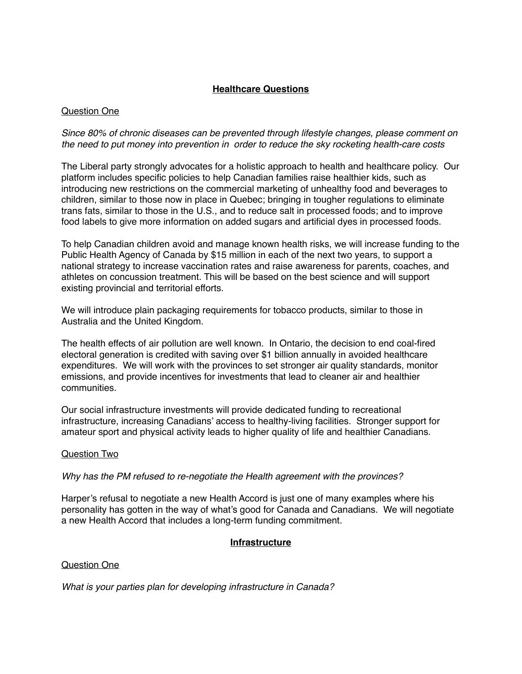# **Healthcare Questions**

# Question One

*Since 80% of chronic diseases can be prevented through lifestyle changes, please comment on the need to put money into prevention in order to reduce the sky rocketing health-care costs*

The Liberal party strongly advocates for a holistic approach to health and healthcare policy. Our platform includes specific policies to help Canadian families raise healthier kids, such as introducing new restrictions on the commercial marketing of unhealthy food and beverages to children, similar to those now in place in Quebec; bringing in tougher regulations to eliminate trans fats, similar to those in the U.S., and to reduce salt in processed foods; and to improve food labels to give more information on added sugars and artificial dyes in processed foods.

To help Canadian children avoid and manage known health risks, we will increase funding to the Public Health Agency of Canada by \$15 million in each of the next two years, to support a national strategy to increase vaccination rates and raise awareness for parents, coaches, and athletes on concussion treatment. This will be based on the best science and will support existing provincial and territorial efforts.

We will introduce plain packaging requirements for tobacco products, similar to those in Australia and the United Kingdom.

The health effects of air pollution are well known. In Ontario, the decision to end coal-fired electoral generation is credited with saving over \$1 billion annually in avoided healthcare expenditures. We will work with the provinces to set stronger air quality standards, monitor emissions, and provide incentives for investments that lead to cleaner air and healthier communities.

Our social infrastructure investments will provide dedicated funding to recreational infrastructure, increasing Canadians' access to healthy-living facilities. Stronger support for amateur sport and physical activity leads to higher quality of life and healthier Canadians.

### Question Two

*Why has the PM refused to re-negotiate the Health agreement with the provinces?*

Harper's refusal to negotiate a new Health Accord is just one of many examples where his personality has gotten in the way of what's good for Canada and Canadians. We will negotiate a new Health Accord that includes a long-term funding commitment.

# **Infrastructure**

### Question One

*What is your parties plan for developing infrastructure in Canada?*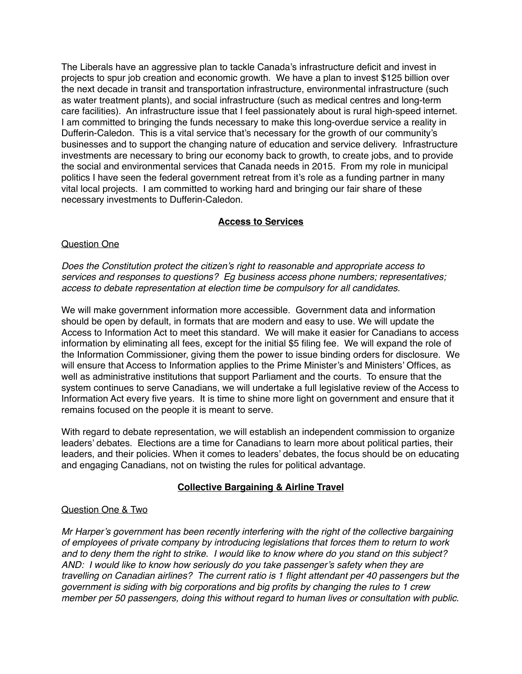The Liberals have an aggressive plan to tackle Canada's infrastructure deficit and invest in projects to spur job creation and economic growth. We have a plan to invest \$125 billion over the next decade in transit and transportation infrastructure, environmental infrastructure (such as water treatment plants), and social infrastructure (such as medical centres and long-term care facilities). An infrastructure issue that I feel passionately about is rural high-speed internet. I am committed to bringing the funds necessary to make this long-overdue service a reality in Dufferin-Caledon. This is a vital service that's necessary for the growth of our community's businesses and to support the changing nature of education and service delivery. Infrastructure investments are necessary to bring our economy back to growth, to create jobs, and to provide the social and environmental services that Canada needs in 2015. From my role in municipal politics I have seen the federal government retreat from it's role as a funding partner in many vital local projects. I am committed to working hard and bringing our fair share of these necessary investments to Dufferin-Caledon.

# **Access to Services**

# Question One

*Does the Constitution protect the citizen's right to reasonable and appropriate access to services and responses to questions? Eg business access phone numbers; representatives; access to debate representation at election time be compulsory for all candidates.*

We will make government information more accessible. Government data and information should be open by default, in formats that are modern and easy to use. We will update the Access to Information Act to meet this standard. We will make it easier for Canadians to access information by eliminating all fees, except for the initial \$5 filing fee. We will expand the role of the Information Commissioner, giving them the power to issue binding orders for disclosure. We will ensure that Access to Information applies to the Prime Minister's and Ministers' Offices, as well as administrative institutions that support Parliament and the courts. To ensure that the system continues to serve Canadians, we will undertake a full legislative review of the Access to Information Act every five years. It is time to shine more light on government and ensure that it remains focused on the people it is meant to serve.

With regard to debate representation, we will establish an independent commission to organize leaders' debates. Elections are a time for Canadians to learn more about political parties, their leaders, and their policies. When it comes to leaders' debates, the focus should be on educating and engaging Canadians, not on twisting the rules for political advantage.

# **Collective Bargaining & Airline Travel**

# Question One & Two

*Mr Harper's government has been recently interfering with the right of the collective bargaining of employees of private company by introducing legislations that forces them to return to work and to deny them the right to strike. I would like to know where do you stand on this subject? AND: I would like to know how seriously do you take passenger's safety when they are travelling on Canadian airlines? The current ratio is 1 flight attendant per 40 passengers but the government is siding with big corporations and big profits by changing the rules to 1 crew member per 50 passengers, doing this without regard to human lives or consultation with public.*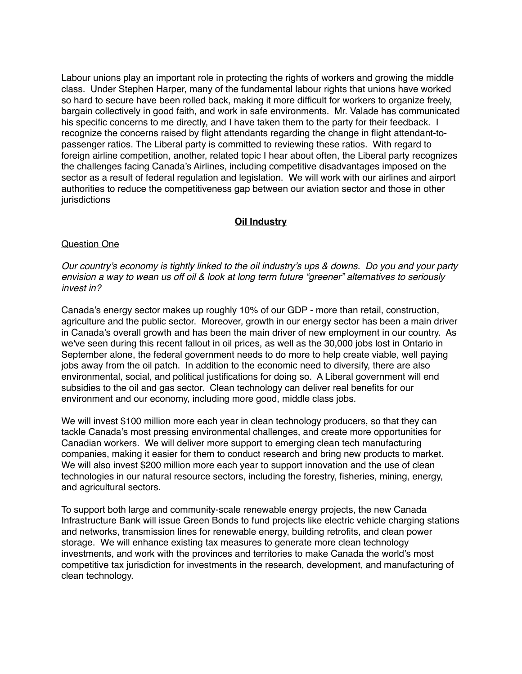Labour unions play an important role in protecting the rights of workers and growing the middle class. Under Stephen Harper, many of the fundamental labour rights that unions have worked so hard to secure have been rolled back, making it more difficult for workers to organize freely, bargain collectively in good faith, and work in safe environments. Mr. Valade has communicated his specific concerns to me directly, and I have taken them to the party for their feedback. I recognize the concerns raised by flight attendants regarding the change in flight attendant-topassenger ratios. The Liberal party is committed to reviewing these ratios. With regard to foreign airline competition, another, related topic I hear about often, the Liberal party recognizes the challenges facing Canada's Airlines, including competitive disadvantages imposed on the sector as a result of federal regulation and legislation. We will work with our airlines and airport authorities to reduce the competitiveness gap between our aviation sector and those in other jurisdictions

# **Oil Industry**

## Question One

*Our country's economy is tightly linked to the oil industry's ups & downs. Do you and your party envision a way to wean us off oil & look at long term future "greener" alternatives to seriously invest in?*

Canada's energy sector makes up roughly 10% of our GDP - more than retail, construction, agriculture and the public sector. Moreover, growth in our energy sector has been a main driver in Canada's overall growth and has been the main driver of new employment in our country. As we've seen during this recent fallout in oil prices, as well as the 30,000 jobs lost in Ontario in September alone, the federal government needs to do more to help create viable, well paying jobs away from the oil patch. In addition to the economic need to diversify, there are also environmental, social, and political justifications for doing so. A Liberal government will end subsidies to the oil and gas sector. Clean technology can deliver real benefits for our environment and our economy, including more good, middle class jobs.

We will invest \$100 million more each year in clean technology producers, so that they can tackle Canada's most pressing environmental challenges, and create more opportunities for Canadian workers. We will deliver more support to emerging clean tech manufacturing companies, making it easier for them to conduct research and bring new products to market. We will also invest \$200 million more each year to support innovation and the use of clean technologies in our natural resource sectors, including the forestry, fisheries, mining, energy, and agricultural sectors.

To support both large and community-scale renewable energy projects, the new Canada Infrastructure Bank will issue Green Bonds to fund projects like electric vehicle charging stations and networks, transmission lines for renewable energy, building retrofits, and clean power storage. We will enhance existing tax measures to generate more clean technology investments, and work with the provinces and territories to make Canada the world's most competitive tax jurisdiction for investments in the research, development, and manufacturing of clean technology.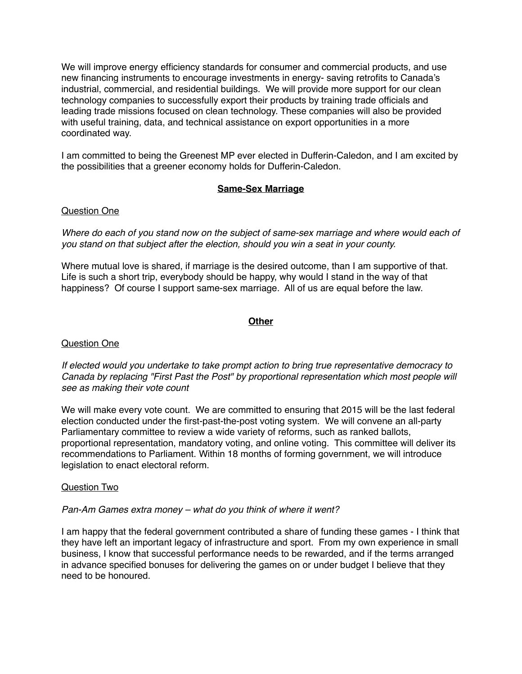We will improve energy efficiency standards for consumer and commercial products, and use new financing instruments to encourage investments in energy- saving retrofits to Canada's industrial, commercial, and residential buildings. We will provide more support for our clean technology companies to successfully export their products by training trade officials and leading trade missions focused on clean technology. These companies will also be provided with useful training, data, and technical assistance on export opportunities in a more coordinated way.

I am committed to being the Greenest MP ever elected in Dufferin-Caledon, and I am excited by the possibilities that a greener economy holds for Dufferin-Caledon.

# **Same-Sex Marriage**

# Question One

*Where do each of you stand now on the subject of same-sex marriage and where would each of you stand on that subject after the election, should you win a seat in your county.*

Where mutual love is shared, if marriage is the desired outcome, than I am supportive of that. Life is such a short trip, everybody should be happy, why would I stand in the way of that happiness? Of course I support same-sex marriage. All of us are equal before the law.

# **Other**

# Question One

*If elected would you undertake to take prompt action to bring true representative democracy to Canada by replacing "First Past the Post" by proportional representation which most people will see as making their vote count*

We will make every vote count. We are committed to ensuring that 2015 will be the last federal election conducted under the first-past-the-post voting system. We will convene an all-party Parliamentary committee to review a wide variety of reforms, such as ranked ballots, proportional representation, mandatory voting, and online voting. This committee will deliver its recommendations to Parliament. Within 18 months of forming government, we will introduce legislation to enact electoral reform.

# Question Two

### *Pan-Am Games extra money – what do you think of where it went?*

I am happy that the federal government contributed a share of funding these games - I think that they have left an important legacy of infrastructure and sport. From my own experience in small business, I know that successful performance needs to be rewarded, and if the terms arranged in advance specified bonuses for delivering the games on or under budget I believe that they need to be honoured.